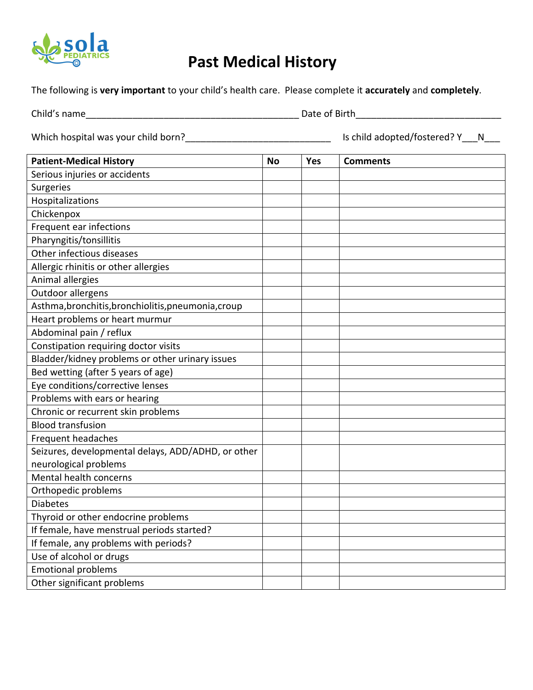

## **Past Medical History**

The following is **very important** to your child's health care. Please complete it **accurately** and **completely**.

Child's name\_\_\_\_\_\_\_\_\_\_\_\_\_\_\_\_\_\_\_\_\_\_\_\_\_\_\_\_\_\_\_\_\_\_\_\_\_\_\_\_\_ Date of Birth\_\_\_\_\_\_\_\_\_\_\_\_\_\_\_\_\_\_\_\_\_\_\_\_\_\_\_\_

Which hospital was your child born?\_\_\_\_\_\_\_\_\_\_\_\_\_\_\_\_\_\_\_\_\_\_\_\_\_\_\_\_ Is child adopted/fostered? Y\_\_\_N\_\_\_

| <b>Patient-Medical History</b>                      | <b>No</b> | Yes | <b>Comments</b> |
|-----------------------------------------------------|-----------|-----|-----------------|
| Serious injuries or accidents                       |           |     |                 |
| Surgeries                                           |           |     |                 |
| Hospitalizations                                    |           |     |                 |
| Chickenpox                                          |           |     |                 |
| Frequent ear infections                             |           |     |                 |
| Pharyngitis/tonsillitis                             |           |     |                 |
| Other infectious diseases                           |           |     |                 |
| Allergic rhinitis or other allergies                |           |     |                 |
| Animal allergies                                    |           |     |                 |
| Outdoor allergens                                   |           |     |                 |
| Asthma, bronchitis, bronchiolitis, pneumonia, croup |           |     |                 |
| Heart problems or heart murmur                      |           |     |                 |
| Abdominal pain / reflux                             |           |     |                 |
| Constipation requiring doctor visits                |           |     |                 |
| Bladder/kidney problems or other urinary issues     |           |     |                 |
| Bed wetting (after 5 years of age)                  |           |     |                 |
| Eye conditions/corrective lenses                    |           |     |                 |
| Problems with ears or hearing                       |           |     |                 |
| Chronic or recurrent skin problems                  |           |     |                 |
| <b>Blood transfusion</b>                            |           |     |                 |
| Frequent headaches                                  |           |     |                 |
| Seizures, developmental delays, ADD/ADHD, or other  |           |     |                 |
| neurological problems                               |           |     |                 |
| Mental health concerns                              |           |     |                 |
| Orthopedic problems                                 |           |     |                 |
| <b>Diabetes</b>                                     |           |     |                 |
| Thyroid or other endocrine problems                 |           |     |                 |
| If female, have menstrual periods started?          |           |     |                 |
| If female, any problems with periods?               |           |     |                 |
| Use of alcohol or drugs                             |           |     |                 |
| <b>Emotional problems</b>                           |           |     |                 |
| Other significant problems                          |           |     |                 |